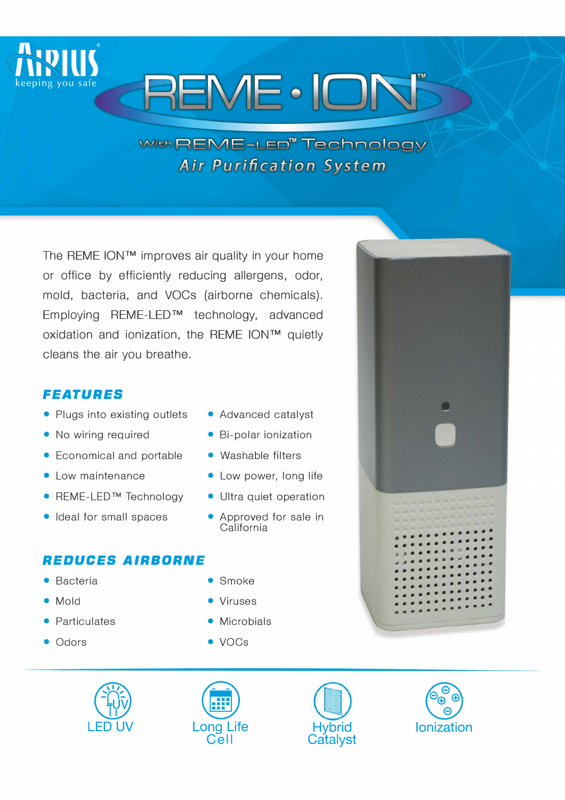

# **REME · IOI**

## With REME-LED<sup>"</sup> Technology **Air Purification System**

The REME ION™ improves air quality in your home or office by efficiently reducing allergens, odor, mold, bacteria, and VOCs (airborne chemicals). Employing REME-LED™ technology, advanced oxidation and ionization, the REME ION™ quietly cleans the air you breathe.

### *FEATURES*

- Plugs into existing outlets Advanced catalyst
- No wiring required Bi-polar ionization
- Economical and portable Washable filters
- 
- REME-LED™ Technology Ultra quiet operation
- Ideal for small spaces Approved for sale in

### *REDUCES AIRBORNE*

- Bacteria Smoke
- 
- Particulates
- Odors
- 
- 
- 
- Low maintenance Low power, long life
	-
	- California
	-
- Mold Viruses
	- Microbials
	- $\bullet$  VOCs





, , , , , , , , , , , , , , , , • • • • • • • • • • • • • Q , • • • • • • 0 : : : : J � • • • • • • � • • • • • • • • • • • • • . . . . . . . . . : : : : . . . . . . . : : . . . .

• • • • •

• • • •

• • • • • • •

• • • • • • • •

• • • • • • • • • •